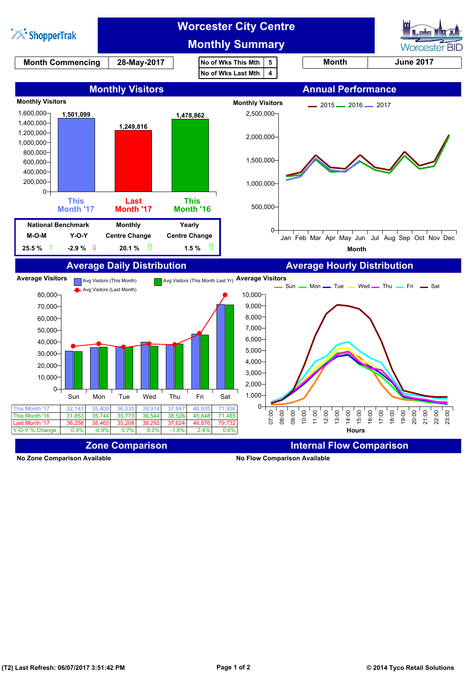

**No Zone Comparison Available No Flow Comparison Available**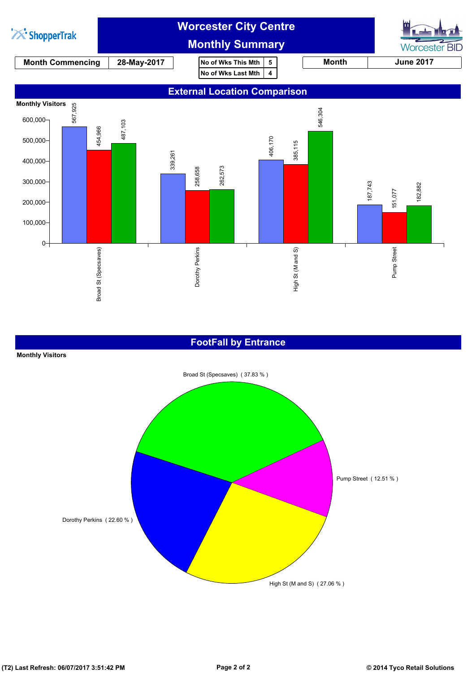

## **FootFall by Entrance**